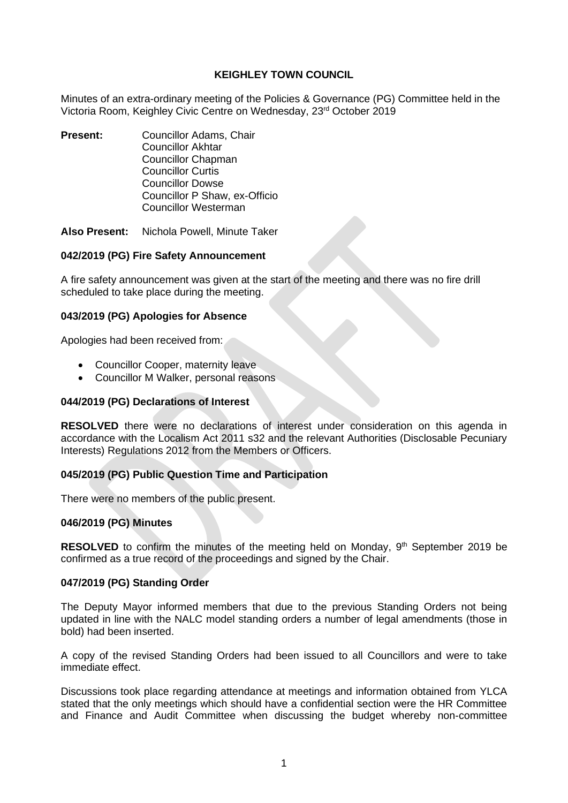# **KEIGHLEY TOWN COUNCIL**

Minutes of an extra-ordinary meeting of the Policies & Governance (PG) Committee held in the Victoria Room, Keighley Civic Centre on Wednesday, 23rd October 2019

- **Present:** Councillor Adams, Chair Councillor Akhtar Councillor Chapman Councillor Curtis Councillor Dowse Councillor P Shaw, ex-Officio Councillor Westerman
- **Also Present:** Nichola Powell, Minute Taker

### **042/2019 (PG) Fire Safety Announcement**

A fire safety announcement was given at the start of the meeting and there was no fire drill scheduled to take place during the meeting.

### **043/2019 (PG) Apologies for Absence**

Apologies had been received from:

- Councillor Cooper, maternity leave
- Councillor M Walker, personal reasons

#### **044/2019 (PG) Declarations of Interest**

**RESOLVED** there were no declarations of interest under consideration on this agenda in accordance with the Localism Act 2011 s32 and the relevant Authorities (Disclosable Pecuniary Interests) Regulations 2012 from the Members or Officers.

# **045/2019 (PG) Public Question Time and Participation**

There were no members of the public present.

# **046/2019 (PG) Minutes**

RESOLVED to confirm the minutes of the meeting held on Monday, 9<sup>th</sup> September 2019 be confirmed as a true record of the proceedings and signed by the Chair.

#### **047/2019 (PG) Standing Order**

The Deputy Mayor informed members that due to the previous Standing Orders not being updated in line with the NALC model standing orders a number of legal amendments (those in bold) had been inserted.

A copy of the revised Standing Orders had been issued to all Councillors and were to take immediate effect.

Discussions took place regarding attendance at meetings and information obtained from YLCA stated that the only meetings which should have a confidential section were the HR Committee and Finance and Audit Committee when discussing the budget whereby non-committee